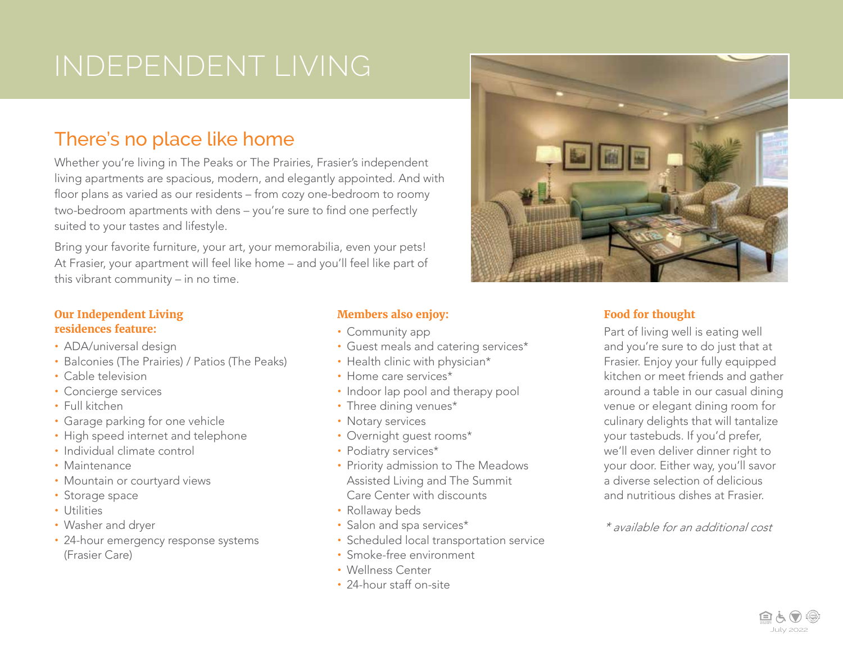## There's no place like home

Whether you're living in The Peaks or The Prairies, Frasier's independent living apartments are spacious, modern, and elegantly appointed. And with floor plans as varied as our residents – from cozy one-bedroom to roomy two-bedroom apartments with dens – you're sure to find one perfectly suited to your tastes and lifestyle.

Bring your favorite furniture, your art, your memorabilia, even your pets! At Frasier, your apartment will feel like home – and you'll feel like part of this vibrant community – in no time.

#### **Our Independent Living residences feature:**

- **•** ADA/universal design
- **•** Balconies (The Prairies) / Patios (The Peaks)
- **•** Cable television
- **•** Concierge services
- **•** Full kitchen
- **•** Garage parking for one vehicle
- **•** High speed internet and telephone
- **•** Individual climate control
- **•** Maintenance
- **•** Mountain or courtyard views
- **•** Storage space
- **•** Utilities
- **•** Washer and dryer
- **•** 24-hour emergency response systems (Frasier Care)

### **Members also enjoy:**

- **•** Community app
- **•** Guest meals and catering services\*
- **•** Health clinic with physician\*
- **•** Home care services\*
- **•** Indoor lap pool and therapy pool
- **•** Three dining venues\*
- **•** Notary services
- **•** Overnight guest rooms\*
- **•** Podiatry services\*
- **•** Priority admission to The Meadows Assisted Living and The Summit Care Center with discounts
- **•** Rollaway beds
- **•** Salon and spa services\*
- **•** Scheduled local transportation service
- **•** Smoke-free environment
- **•** Wellness Center
- **•** 24-hour staff on-site



### **Food for thought**

Part of living well is eating well and you're sure to do just that at Frasier. Enjoy your fully equipped kitchen or meet friends and gather around a table in our casual dining venue or elegant dining room for culinary delights that will tantalize your tastebuds. If you'd prefer, we'll even deliver dinner right to your door. Either way, you'll savor a diverse selection of delicious and nutritious dishes at Frasier.

*\* available for an additional cost*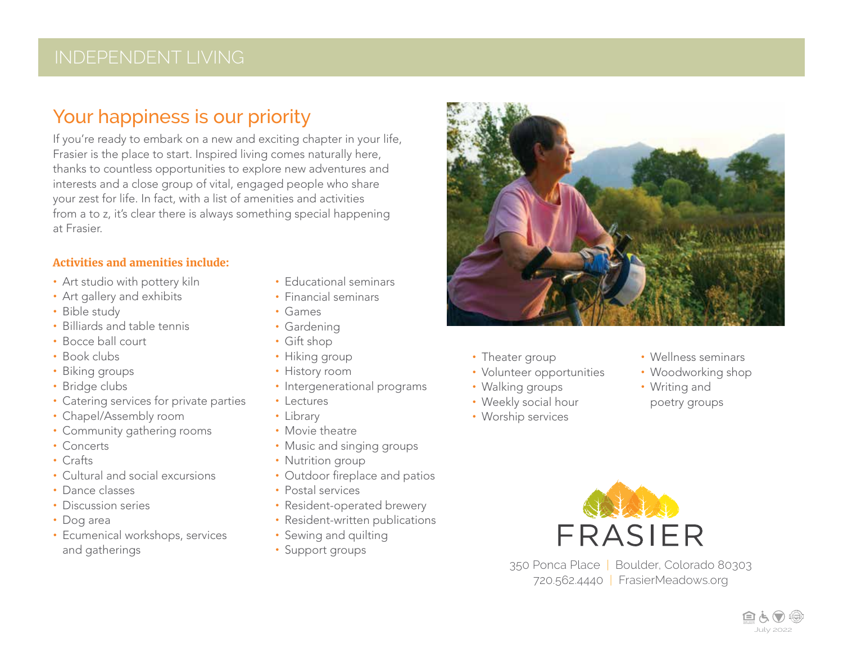## Your happiness is our priority

If you're ready to embark on a new and exciting chapter in your life, Frasier is the place to start. Inspired living comes naturally here, thanks to countless opportunities to explore new adventures and interests and a close group of vital, engaged people who share your zest for life. In fact, with a list of amenities and activities from a to z, it's clear there is always something special happening at Frasier.

#### **Activities and amenities include:**

- **•** Art studio with pottery kiln
- **•** Art gallery and exhibits
- **•** Bible study
- **•** Billiards and table tennis
- **•** Bocce ball court
- **•** Book clubs
- **•** Biking groups
- **•** Bridge clubs
- **•** Catering services for private parties
- **•** Chapel/Assembly room
- **•** Community gathering rooms
- **•** Concerts
- **•** Crafts
- **•** Cultural and social excursions
- **•** Dance classes
- **•** Discussion series
- **•** Dog area
- **•** Ecumenical workshops, services and gatherings
- **•** Educational seminars
- **•** Financial seminars
- **•** Games
- **•** Gardening
- **•** Gift shop
- **•** Hiking group
- **•** History room
- **•** Intergenerational programs
- **•** Lectures
- **•** Library
- **•** Movie theatre
- **•** Music and singing groups
- **•** Nutrition group
- **•** Outdoor fireplace and patios
- **•** Postal services
- **•** Resident-operated brewery
- **•** Resident-written publications
- **•** Sewing and quilting
- **•** Support groups



- **•** Theater group
- **•** Volunteer opportunities
- **•** Walking groups
- **•** Weekly social hour
- **•** Worship services
- **•** Wellness seminars
- **•** Woodworking shop
- **•** Writing and
- poetry groups



350 Ponca Place | Boulder, Colorado 80303 720.562.4440 | FrasierMeadows.org

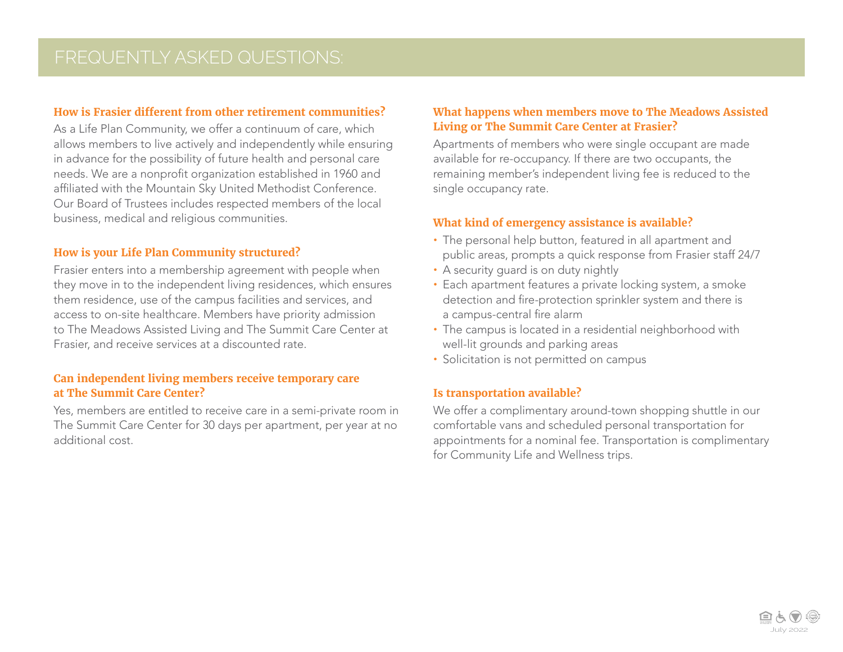#### **How is Frasier different from other retirement communities?**

As a Life Plan Community, we offer a continuum of care, which allows members to live actively and independently while ensuring in advance for the possibility of future health and personal care needs. We are a nonprofit organization established in 1960 and affiliated with the Mountain Sky United Methodist Conference. Our Board of Trustees includes respected members of the local business, medical and religious communities.

#### **How is your Life Plan Community structured?**

Frasier enters into a membership agreement with people when they move in to the independent living residences, which ensures them residence, use of the campus facilities and services, and access to on-site healthcare. Members have priority admission to The Meadows Assisted Living and The Summit Care Center at Frasier, and receive services at a discounted rate.

#### **Can independent living members receive temporary care at The Summit Care Center?**

Yes, members are entitled to receive care in a semi-private room in The Summit Care Center for 30 days per apartment, per year at no additional cost.

#### **What happens when members move to The Meadows Assisted Living or The Summit Care Center at Frasier?**

Apartments of members who were single occupant are made available for re-occupancy. If there are two occupants, the remaining member's independent living fee is reduced to the single occupancy rate.

#### **What kind of emergency assistance is available?**

- **•** The personal help button, featured in all apartment and public areas, prompts a quick response from Frasier staff 24/7
- **•** A security guard is on duty nightly
- **•** Each apartment features a private locking system, a smoke detection and fire-protection sprinkler system and there is a campus-central fire alarm
- **•** The campus is located in a residential neighborhood with well-lit grounds and parking areas
- **•** Solicitation is not permitted on campus

#### **Is transportation available?**

We offer a complimentary around-town shopping shuttle in our comfortable vans and scheduled personal transportation for appointments for a nominal fee. Transportation is complimentary for Community Life and Wellness trips.

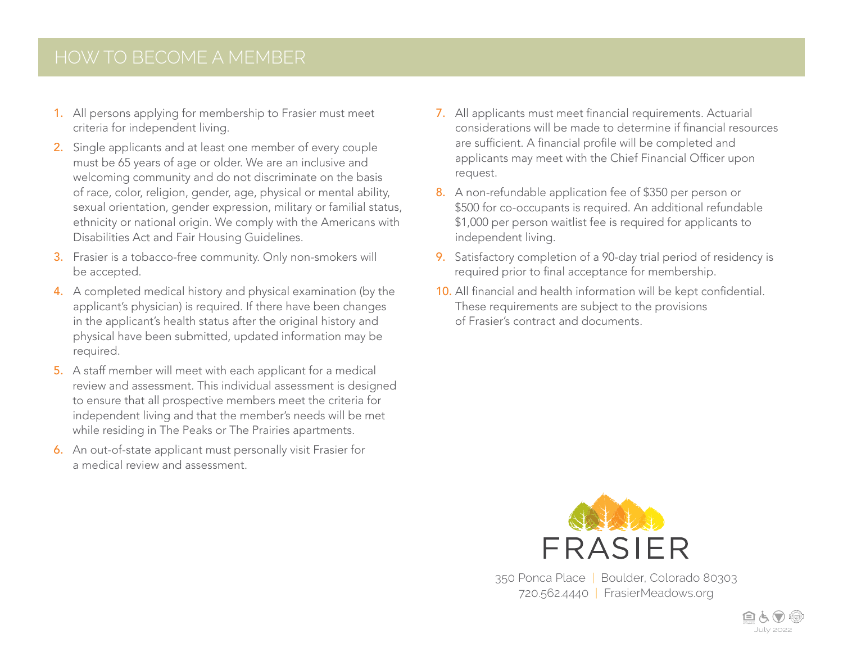## HOW TO BECOME A MEMBER

- 1. All persons applying for membership to Frasier must meet criteria for independent living.
- 2. Single applicants and at least one member of every couple must be 65 years of age or older. We are an inclusive and welcoming community and do not discriminate on the basis of race, color, religion, gender, age, physical or mental ability, sexual orientation, gender expression, military or familial status, ethnicity or national origin. We comply with the Americans with Disabilities Act and Fair Housing Guidelines.
- 3. Frasier is a tobacco-free community. Only non-smokers will be accepted.
- 4. A completed medical history and physical examination (by the applicant's physician) is required. If there have been changes in the applicant's health status after the original history and physical have been submitted, updated information may be required.
- 5. A staff member will meet with each applicant for a medical review and assessment. This individual assessment is designed to ensure that all prospective members meet the criteria for independent living and that the member's needs will be met while residing in The Peaks or The Prairies apartments.
- 6. An out-of-state applicant must personally visit Frasier for a medical review and assessment.
- 7. All applicants must meet financial requirements. Actuarial considerations will be made to determine if financial resources are sufficient. A financial profile will be completed and applicants may meet with the Chief Financial Officer upon request.
- 8. A non-refundable application fee of \$350 per person or \$500 for co-occupants is required. An additional refundable \$1,000 per person waitlist fee is required for applicants to independent living.
- 9. Satisfactory completion of a 90-day trial period of residency is required prior to final acceptance for membership.
- 10. All financial and health information will be kept confidential. These requirements are subject to the provisions of Frasier's contract and documents.



350 Ponca Place | Boulder, Colorado 80303 720.562.4440 | FrasierMeadows.org

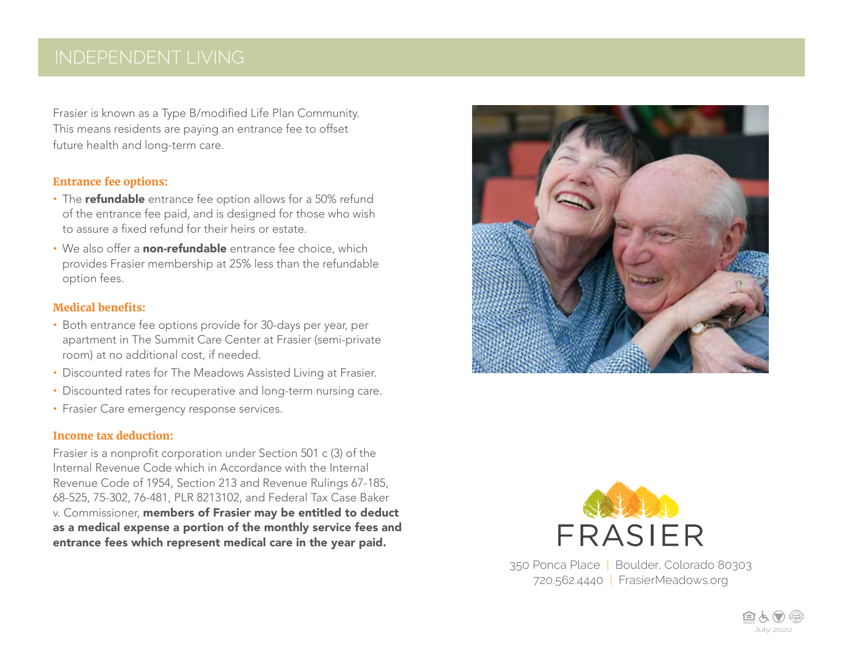## INDEPENDENT LIVING

Frasier is known as a Type B/modified Life Plan Community. This means residents are paying an entrance fee to offset future health and long-term care.

#### **Entrance fee options:**

- **•** The refundable entrance fee option allows for a 50% refund of the entrance fee paid, and is designed for those who wish to assure a fixed refund for their heirs or estate.
- We also offer a **non-refundable** entrance fee choice, which provides Frasier membership at 25% less than the refundable option fees.

#### **Medical benefits:**

- **•** Both entrance fee options provide for 30-days per year, per apartment in The Summit Care Center at Frasier (semi-private room) at no additional cost, if needed.
- **•** Discounted rates for The Meadows Assisted Living at Frasier.
- **•** Discounted rates for recuperative and long-term nursing care.
- **•** Frasier Care emergency response services.

#### **Income tax deduction:**

Frasier is a nonprofit corporation under Section 501 c (3) of the Internal Revenue Code which in Accordance with the Internal Revenue Code of 1954, Section 213 and Revenue Rulings 67-185, 68-525, 75-302, 76-481, PLR 8213102, and Federal Tax Case Baker v. Commissioner, members of Frasier may be entitled to deduct as a medical expense a portion of the monthly service fees and entrance fees which represent medical care in the year paid.





350 Ponca Place | Boulder, Colorado 80303 720.562.4440 | FrasierMeadows.org